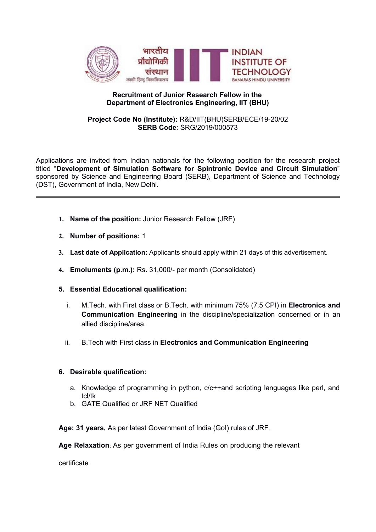

## Recruitment of Junior Research Fellow in the Department of Electronics Engineering, IIT (BHU)

### Project Code No (Institute): R&D/IIT(BHU)SERB/ECE/19-20/02 SERB Code: SRG/2019/000573

Applications are invited from Indian nationals for the following position for the research project titled "Development of Simulation Software for Spintronic Device and Circuit Simulation" sponsored by Science and Engineering Board (SERB), Department of Science and Technology (DST), Government of India, New Delhi.

- 1. Name of the position: Junior Research Fellow (JRF)
- 2. Number of positions: 1
- 3. Last date of Application: Applicants should apply within 21 days of this advertisement.
- 4. Emoluments (p.m.): Rs. 31,000/- per month (Consolidated)
- 5. Essential Educational qualification:
	- i. M. Tech. with First class or B. Tech. with minimum 75% (7.5 CPI) in Electronics and Communication Engineering in the discipline/specialization concerned or in an allied discipline/area.
	- ii. B.Tech with First class in Electronics and Communication Engineering

### 6. Desirable qualification:

- a. Knowledge of programming in python, c/c++and scripting languages like perl, and tcl/tk
- b. GATE Qualified or JRF NET Qualified

Age: 31 years, As per latest Government of India (GoI) rules of JRF.

Age Relaxation: As per government of India Rules on producing the relevant

certificate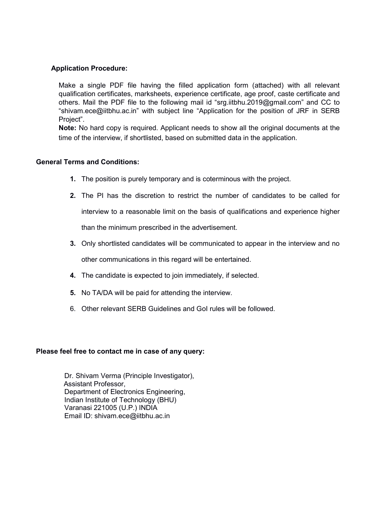### Application Procedure:

Make a single PDF file having the filled application form (attached) with all relevant qualification certificates, marksheets, experience certificate, age proof, caste certificate and others. Mail the PDF file to the following mail id "srg.iitbhu.2019@gmail.com" and CC to "shivam.ece@iitbhu.ac.in" with subject line "Application for the position of JRF in SERB Project".

Note: No hard copy is required. Applicant needs to show all the original documents at the time of the interview, if shortlisted, based on submitted data in the application.

### General Terms and Conditions:

- 1. The position is purely temporary and is coterminous with the project.
- 2. The PI has the discretion to restrict the number of candidates to be called for interview to a reasonable limit on the basis of qualifications and experience higher than the minimum prescribed in the advertisement.
- 3. Only shortlisted candidates will be communicated to appear in the interview and no other communications in this regard will be entertained.
- 4. The candidate is expected to join immediately, if selected.
- 5. No TA/DA will be paid for attending the interview.
- 6. Other relevant SERB Guidelines and GoI rules will be followed.

### Please feel free to contact me in case of any query:

Dr. Shivam Verma (Principle Investigator), Assistant Professor, Department of Electronics Engineering, Indian Institute of Technology (BHU) Varanasi 221005 (U.P.) INDIA Email ID: shivam.ece@iitbhu.ac.in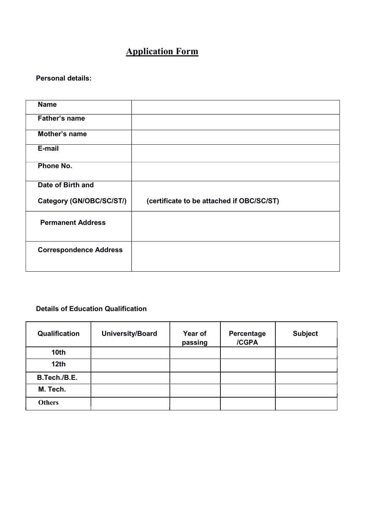# Application Form

# Personal details:

| <b>Name</b>                   |                                           |
|-------------------------------|-------------------------------------------|
| <b>Father's name</b>          |                                           |
| Mother's name                 |                                           |
| E-mail                        |                                           |
| Phone No.                     |                                           |
| Date of Birth and             |                                           |
| Category (GN/OBC/SC/ST/)      | (certificate to be attached if OBC/SC/ST) |
| <b>Permanent Address</b>      |                                           |
| <b>Correspondence Address</b> |                                           |

# Details of Education Qualification

| Qualification    | University/Board | Year of<br>passing | Percentage<br>/CGPA | <b>Subject</b> |
|------------------|------------------|--------------------|---------------------|----------------|
| 10 <sub>th</sub> |                  |                    |                     |                |
| 12 <sub>th</sub> |                  |                    |                     |                |
| B.Tech./B.E.     |                  |                    |                     |                |
| M. Tech.         |                  |                    |                     |                |
| <b>Others</b>    |                  |                    |                     |                |